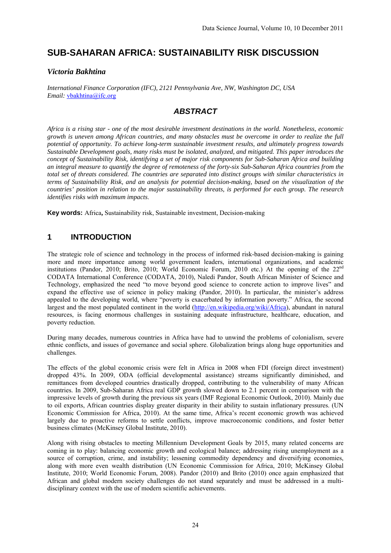# **SUB-SAHARAN AFRICA: SUSTAINABILITY RISK DISCUSSION**

#### *Victoria Bakhtina*

*International Finance Corporation (IFC), 2121 Pennsylvania Ave, NW, Washington DC, USA Email:* vbakhtina@ifc.org

## *ABSTRACT*

*Africa is a rising star - one of the most desirable investment destinations in the world. Nonetheless, economic growth is uneven among African countries, and many obstacles must be overcome in order to realize the full potential of opportunity. To achieve long-term sustainable investment results, and ultimately progress towards Sustainable Development goals, many risks must be isolated, analyzed, and mitigated. This paper introduces the concept of Sustainability Risk, identifying a set of major risk components for Sub-Saharan Africa and building an integral measure to quantify the degree of remoteness of the forty-six Sub-Saharan Africa countries from the total set of threats considered. The countries are separated into distinct groups with similar characteristics in terms of Sustainability Risk, and an analysis for potential decision-making, based on the visualization of the countries' position in relation to the major sustainability threats, is performed for each group. The research identifies risks with maximum impacts*.

**Key words:** Africa**,** Sustainability risk, Sustainable investment, Decision-making

#### **1 INTRODUCTION**

The strategic role of science and technology in the process of informed risk-based decision-making is gaining more and more importance among world government leaders, international organizations, and academic institutions (Pandor, 2010; Brito, 2010; World Economic Forum, 2010 etc.) At the opening of the 22nd CODATA International Conference (CODATA, 2010), Naledi Pandor, South African Minister of Science and Technology, emphasized the need "to move beyond good science to concrete action to improve lives" and expand the effective use of science in policy making (Pandor, 2010). In particular, the minister's address appealed to the developing world, where "poverty is exacerbated by information poverty." Africa, the second largest and the most populated continent in the world (http://en.wikipedia.org/wiki/Africa), abundant in natural resources, is facing enormous challenges in sustaining adequate infrastructure, healthcare, education, and poverty reduction.

During many decades, numerous countries in Africa have had to unwind the problems of colonialism, severe ethnic conflicts, and issues of governance and social sphere. Globalization brings along huge opportunities and challenges.

The effects of the global economic crisis were felt in Africa in 2008 when FDI (foreign direct investment) dropped 43%. In 2009, ODA (official developmental assistance) streams significantly diminished, and remittances from developed countries drastically dropped, contributing to the vulnerability of many African countries. In 2009, Sub-Saharan Africa real GDP growth slowed down to 2.1 percent in comparison with the impressive levels of growth during the previous six years (IMF Regional Economic Outlook, 2010). Mainly due to oil exports, African countries display greater disparity in their ability to sustain inflationary pressures. (UN Economic Commission for Africa, 2010). At the same time, Africa's recent economic growth was achieved largely due to proactive reforms to settle conflicts, improve macroeconomic conditions, and foster better business climates (McKinsey Global Institute, 2010).

Along with rising obstacles to meeting Millennium Development Goals by 2015, many related concerns are coming in to play: balancing economic growth and ecological balance; addressing rising unemployment as a source of corruption, crime, and instability; lessening commodity dependency and diversifying economies, along with more even wealth distribution (UN Economic Commission for Africa, 2010; McKinsey Global Institute, 2010; World Economic Forum, 2008). Pandor (2010) and Brito (2010) once again emphasized that African and global modern society challenges do not stand separately and must be addressed in a multidisciplinary context with the use of modern scientific achievements.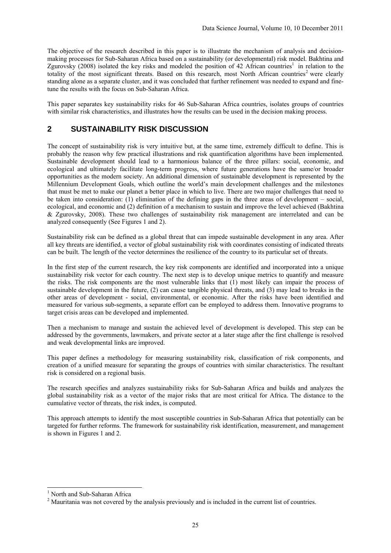The objective of the research described in this paper is to illustrate the mechanism of analysis and decisionmaking processes for Sub-Saharan Africa based on a sustainability (or developmental) risk model. Bakhtina and Zgurovsky (2008) isolated the key risks and modeled the position of 42 African countries<sup>1</sup> in relation to the totality of the most significant threats. Based on this research, most North African countries<sup>2</sup> were clearly standing alone as a separate cluster, and it was concluded that further refinement was needed to expand and finetune the results with the focus on Sub-Saharan Africa.

This paper separates key sustainability risks for 46 Sub-Saharan Africa countries, isolates groups of countries with similar risk characteristics, and illustrates how the results can be used in the decision making process.

#### **2 SUSTAINABILITY RISK DISCUSSION**

The concept of sustainability risk is very intuitive but, at the same time, extremely difficult to define. This is probably the reason why few practical illustrations and risk quantification algorithms have been implemented*.*  Sustainable development should lead to a harmonious balance of the three pillars: social, economic, and ecological and ultimately facilitate long-term progress, where future generations have the same/or broader opportunities as the modern society. An additional dimension of sustainable development is represented by the Millennium Development Goals, which outline the world's main development challenges and the milestones that must be met to make our planet a better place in which to live. There are two major challenges that need to be taken into consideration: (1) elimination of the defining gaps in the three areas of development – social, ecological, and economic and (2) definition of a mechanism to sustain and improve the level achieved (Bakhtina & Zgurovsky, 2008). These two challenges of sustainability risk management are interrelated and can be analyzed consequently (See Figures 1 and 2).

Sustainability risk can be defined as a global threat that can impede sustainable development in any area. After all key threats are identified, a vector of global sustainability risk with coordinates consisting of indicated threats can be built. The length of the vector determines the resilience of the country to its particular set of threats.

In the first step of the current research, the key risk components are identified and incorporated into a unique sustainability risk vector for each country. The next step is to develop unique metrics to quantify and measure the risks. The risk components are the most vulnerable links that (1) most likely can impair the process of sustainable development in the future, (2) can cause tangible physical threats, and (3) may lead to breaks in the other areas of development - social, environmental, or economic. After the risks have been identified and measured for various sub-segments, a separate effort can be employed to address them. Innovative programs to target crisis areas can be developed and implemented.

Then a mechanism to manage and sustain the achieved level of development is developed. This step can be addressed by the governments, lawmakers, and private sector at a later stage after the first challenge is resolved and weak developmental links are improved.

This paper defines a methodology for measuring sustainability risk, classification of risk components, and creation of a unified measure for separating the groups of countries with similar characteristics. The resultant risk is considered on a regional basis.

The research specifies and analyzes sustainability risks for Sub-Saharan Africa and builds and analyzes the global sustainability risk as a vector of the major risks that are most critical for Africa. The distance to the cumulative vector of threats, the risk index, is computed.

This approach attempts to identify the most susceptible countries in Sub-Saharan Africa that potentially can be targeted for further reforms. The framework for sustainability risk identification, measurement, and management is shown in Figures 1 and 2.

 1 North and Sub-Saharan Africa

<sup>&</sup>lt;sup>2</sup> Mauritania was not covered by the analysis previously and is included in the current list of countries.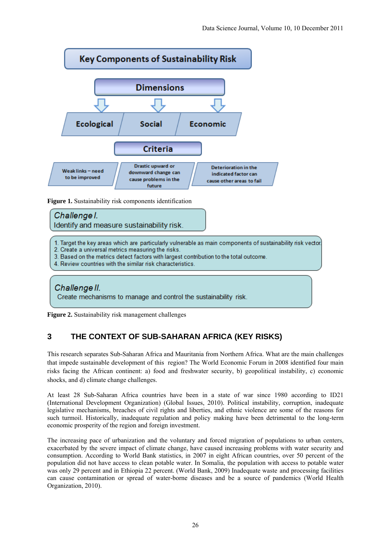

**Figure 1.** Sustainability risk components identification



1. Target the key areas which are particularly vulnerable as main components of sustainability risk vector

2. Create a universal metrics measuring the risks.

3. Based on the metrics detect factors with largest contribution to the total outcome.

4. Review countries with the similar risk characteristics.

## Challenge II. Create mechanisms to manage and control the sustainability risk.

**Figure 2.** Sustainability risk management challenges

### **3 THE CONTEXT OF SUB-SAHARAN AFRICA (KEY RISKS)**

This research separates Sub-Saharan Africa and Mauritania from Northern Africa. What are the main challenges that impede sustainable development of this region? The World Economic Forum in 2008 identified four main risks facing the African continent: a) food and freshwater security, b) geopolitical instability, c) economic shocks, and d) climate change challenges.

At least 28 Sub-Saharan Africa countries have been in a state of war since 1980 according to ID21 (International Development Organization) (Global Issues, 2010). Political instability, corruption, inadequate legislative mechanisms, breaches of civil rights and liberties, and ethnic violence are some of the reasons for such turmoil. Historically, inadequate regulation and policy making have been detrimental to the long-term economic prosperity of the region and foreign investment.

The increasing pace of urbanization and the voluntary and forced migration of populations to urban centers, exacerbated by the severe impact of climate change, have caused increasing problems with water security and consumption. According to World Bank statistics, in 2007 in eight African countries, over 50 percent of the population did not have access to clean potable water. In Somalia, the population with access to potable water was only 29 percent and in Ethiopia 22 percent. (World Bank, 2009) Inadequate waste and processing facilities can cause contamination or spread of water-borne diseases and be a source of pandemics (World Health Organization, 2010).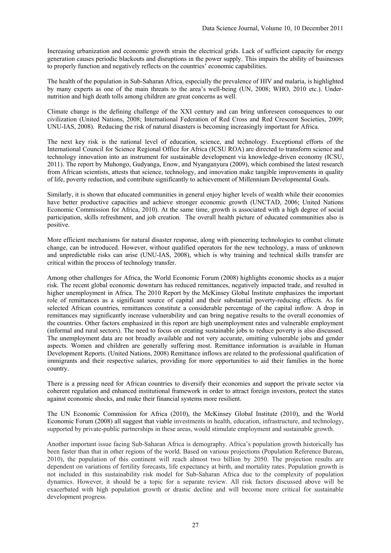Increasing urbanization and economic growth strain the electrical grids. Lack of sufficient capacity for energy generation causes periodic blackouts and disruptions in the power supply. This impairs the ability of businesses to properly function and negatively reflects on the countries' economic capabilities.

The health of the population in Sub-Saharan Africa, especially the prevalence of HIV and malaria, is highlighted by many experts as one of the main threats to the area's well-being (UN, 2008; WHO, 2010 etc.). Undernutrition and high death tolls among children are great concerns as well.

Climate change is the defining challenge of the XXI century and can bring unforeseen consequences to our civilization (United Nations, 2008; International Federation of Red Cross and Red Crescent Societies, 2009; UNU-IAS, 2008). Reducing the risk of natural disasters is becoming increasingly important for Africa.

The next key risk is the national level of education, science, and technology. Exceptional efforts of the International Council for Science Regional Office for Africa (ICSU ROA) are directed to transform science and technology innovation into an instrument for sustainable development via knowledge-driven economy (ICSU, 2011). The report by Muhongo, Gudyanga, Enow, and Nyanganyura (2009), which combined the latest research from African scientists, attests that science, technology, and innovation make tangible improvements in quality of life, poverty reduction, and contribute significantly to achievement of Millennium Developmental Goals.

Similarly, it is shown that educated communities in general enjoy higher levels of wealth while their economies have better productive capacities and achieve stronger economic growth (UNCTAD, 2006; United Nations Economic Commission for Africa, 2010). At the same time, growth is associated with a high degree of social participation, skills refreshment, and job creation. The overall health picture of educated communities also is positive.

More efficient mechanisms for natural disaster response, along with pioneering technologies to combat climate change, can be introduced. However, without qualified operators for the new technology, a mass of unknown and unpredictable risks can arise (UNU-IAS, 2008), which is why training and technical skills transfer are critical within the process of technology transfer.

Among other challenges for Africa, the World Economic Forum (2008) highlights economic shocks as a major risk. The recent global economic downturn has reduced remittances, negatively impacted trade, and resulted in higher unemployment in Africa. The 2010 Report by the McKinsey Global Institute emphasizes the important role of remittances as a significant source of capital and their substantial poverty-reducing effects. As for selected African countries, remittances constitute a considerable percentage of the capital inflow. A drop in remittances may significantly increase vulnerability and can bring negative results to the overall economies of the countries. Other factors emphasized in this report are high unemployment rates and vulnerable employment (informal and rural sectors). The need to focus on creating sustainable jobs to reduce poverty is also discussed. The unemployment data are not broadly available and not very accurate, omitting vulnerable jobs and gender aspects. Women and children are generally suffering most. Remittance information is available in Human Development Reports. (United Nations, 2008) Remittance inflows are related to the professional qualification of immigrants and their respective salaries, providing for more opportunities to aid their families in the home country.

There is a pressing need for African countries to diversify their economies and support the private sector via coherent regulation and enhanced institutional framework in order to attract foreign investors, protect the states against economic shocks, and make their financial systems more resilient.

The UN Economic Commission for Africa (2010), the McKinsey Global Institute (2010), and the World Economic Forum (2008) all suggest that viable investments in health, education, infrastructure, and technology, supported by private-public partnerships in these areas, would stimulate employment and sustainable growth.

Another important issue facing Sub-Saharan Africa is demography. Africa's population growth historically has been faster than that in other regions of the world. Based on various projections (Population Reference Bureau, 2010), the population of this continent will reach almost two billion by 2050. The projection results are dependent on variations of fertility forecasts, life expectancy at birth, and mortality rates. Population growth is not included in this sustainability risk model for Sub-Saharan Africa due to the complexity of population dynamics. However, it should be a topic for a separate review. All risk factors discussed above will be exacerbated with high population growth or drastic decline and will become more critical for sustainable development progress.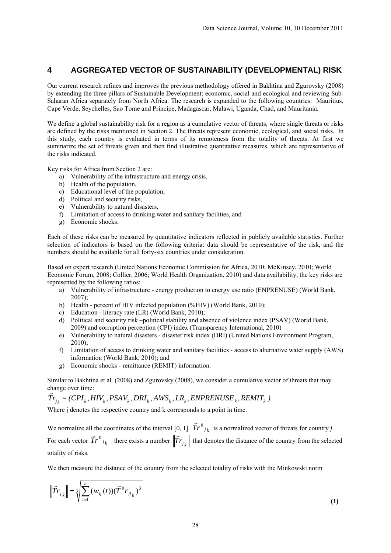#### **4 AGGREGATED VECTOR OF SUSTAINABILITY (DEVELOPMENTAL) RISK**

Our current research refines and improves the previous methodology offered in Bakhtina and Zgurovsky (2008) by extending the three pillars of Sustainable Development: economic, social and ecological and reviewing Sub-Saharan Africa separately from North Africa. The research is expanded to the following countries: Mauritius, Cape Verde, Seychelles, Sao Tome and Principe, Madagascar, Malawi, Uganda, Chad, and Mauritania.

We define a global sustainability risk for a region as a cumulative vector of threats, where single threats or risks are defined by the risks mentioned in Section 2. The threats represent economic, ecological, and social risks. In this study, each country is evaluated in terms of its remoteness from the totality of threats. At first we summarize the set of threats given and then find illustrative quantitative measures, which are representative of the risks indicated.

Key risks for Africa from Section 2 are:

- a) Vulnerability of the infrastructure and energy crisis,
- b) Health of the population,
- c) Educational level of the population,
- d) Political and security risks,
- e) Vulnerability to natural disasters,
- f) Limitation of access to drinking water and sanitary facilities, and
- g) Economic shocks.

Each of these risks can be measured by quantitative indicators reflected in publicly available statistics. Further selection of indicators is based on the following criteria: data should be representative of the risk, and the numbers should be available for all forty-six countries under consideration.

Based on expert research (United Nations Economic Commission for Africa, 2010; McKinsey, 2010; World Economic Forum, 2008; Collier, 2006; World Health Organization, 2010) and data availability, the key risks are represented by the following ratios:

- a) Vulnerability of infrastructure energy production to energy use ratio (ENPRENUSE) (World Bank, 2007);
- b) Health percent of HIV infected population (%HIV) (World Bank, 2010);
- c) Education literacy rate (LR) (World Bank, 2010);
- d) Political and security risk –political stability and absence of violence index (PSAV) (World Bank, 2009) and corruption perception (CPI) index (Transparency International, 2010)
- e) Vulnerability to natural disasters disaster risk index (DRI) (United Nations Environment Program, 2010);
- f) Limitation of access to drinking water and sanitary facilities access to alternative water supply (AWS) information (World Bank, 2010); and
- g) Economic shocks remittance (REMIT) information.

Similar to Bakhtina et al. (2008) and Zgurovsky (2008), we consider a cumulative vector of threats that may change over time:

 $\vec{Tr}_{i_k} = (CPI_k, HIV_k, PSAV_k, DRI_k, AWS_k, LR_k, ENPRENUSE_k, REMIT_k)$ 

Where *i* denotes the respective country and k corresponds to a point in time.

We normalize all the coordinates of the interval [0, 1].  $\vec{Tr}^0{}_{j_k}$  is a normalized vector of threats for country *j*. For each vector  $\vec{Tr}^0_{jk}$ , there exists a number  $\|\vec{Tr}_{jk}\|$  that denotes the distance of the country from the selected totality of risks.

We then measure the distance of the country from the selected totality of risks with the Minkowski norm

$$
\left\| \vec{T} r_{j_k} \right\| = \sqrt[3]{\sum_{l=1}^{n} (w_{ij}(t)) (\vec{T}^0 r_{j l_k})^3}
$$
 (1)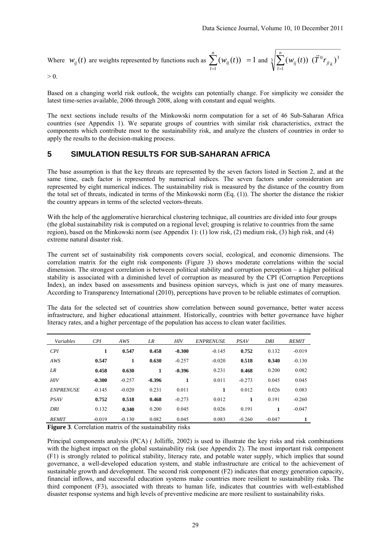Where 
$$
w_{ij}(t)
$$
 are weights represented by functions such as  $\sum_{l=1}^{n} (w_{ij}(t)) = 1$  and  $\sqrt[3]{\sum_{l=1}^{n} (w_{ij}(t)) (\vec{T}^0 r_{jl_k})^3}$ 

Based on a changing world risk outlook, the weights can potentially change. For simplicity we consider the latest time-series available, 2006 through 2008, along with constant and equal weights.

The next sections include results of the Minkowski norm computation for a set of 46 Sub-Saharan Africa countries (see Appendix 1). We separate groups of countries with similar risk characteristics, extract the components which contribute most to the sustainability risk, and analyze the clusters of countries in order to apply the results to the decision-making process.

#### **5 SIMULATION RESULTS FOR SUB-SAHARAN AFRICA**

The base assumption is that the key threats are represented by the seven factors listed in Section 2, and at the same time, each factor is represented by numerical indices. The seven factors under consideration are represented by eight numerical indices. The sustainability risk is measured by the distance of the country from the total set of threats, indicated in terms of the Minkowski norm (Eq. (1)). The shorter the distance the riskier the country appears in terms of the selected vectors-threats.

With the help of the agglomerative hierarchical clustering technique, all countries are divided into four groups (the global sustainability risk is computed on a regional level; grouping is relative to countries from the same region), based on the Minkowski norm (see Appendix 1): (1) low risk, (2) medium risk, (3) high risk, and (4) extreme natural disaster risk.

The current set of sustainability risk components covers social, ecological, and economic dimensions. The correlation matrix for the eight risk components (Figure 3) shows moderate correlations within the social dimension. The strongest correlation is between political stability and corruption perception – a higher political stability is associated with a diminished level of corruption as measured by the CPI (Corruption Perceptions Index), an index based on assessments and business opinion surveys, which is just one of many measures. According to Transparency International (2010), perceptions have proven to be reliable estimates of corruption.

The data for the selected set of countries show correlation between sound governance, better water access infrastructure, and higher educational attainment. Historically, countries with better governance have higher literacy rates, and a higher percentage of the population has access to clean water facilities.

| Variables        | CPI      | AWS      | LR       | <b>HIV</b> | <b>ENPRENUSE</b> | <b>PSAV</b> | DRI      | <b>REMIT</b> |
|------------------|----------|----------|----------|------------|------------------|-------------|----------|--------------|
| CPI              | 1        | 0.547    | 0.458    | $-0.300$   | $-0.145$         | 0.752       | 0.132    | $-0.019$     |
| AWS              | 0.547    | 1        | 0.630    | $-0.257$   | $-0.020$         | 0.518       | 0.340    | $-0.130$     |
| LR               | 0.458    | 0.630    | 1        | $-0.396$   | 0.231            | 0.468       | 0.200    | 0.082        |
| <b>HIV</b>       | $-0.300$ | $-0.257$ | $-0.396$ | 1          | 0.011            | $-0.273$    | 0.045    | 0.045        |
| <b>ENPRENUSE</b> | $-0.145$ | $-0.020$ | 0.231    | 0.011      | 1                | 0.012       | 0.026    | 0.083        |
| <b>PSAV</b>      | 0.752    | 0.518    | 0.468    | $-0.273$   | 0.012            | 1           | 0.191    | $-0.260$     |
| DRI              | 0.132    | 0.340    | 0.200    | 0.045      | 0.026            | 0.191       | 1        | $-0.047$     |
| <b>REMIT</b>     | $-0.019$ | $-0.130$ | 0.082    | 0.045      | 0.083            | $-0.260$    | $-0.047$ |              |

**Figure 3**. Correlation matrix of the sustainability risks

Principal components analysis (PCA) ( Jolliffe, 2002) is used to illustrate the key risks and risk combinations with the highest impact on the global sustainability risk (see Appendix 2). The most important risk component (F1) is strongly related to political stability, literacy rate, and potable water supply, which implies that sound governance, a well-developed education system, and stable infrastructure are critical to the achievement of sustainable growth and development. The second risk component (F2) indicates that energy generation capacity, financial inflows, and successful education systems make countries more resilient to sustainability risks. The third component (F3), associated with threats to human life, indicates that countries with well-established disaster response systems and high levels of preventive medicine are more resilient to sustainability risks.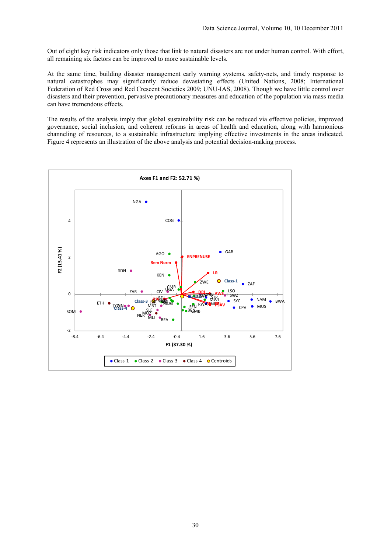Out of eight key risk indicators only those that link to natural disasters are not under human control. With effort, all remaining six factors can be improved to more sustainable levels.

At the same time, building disaster management early warning systems, safety-nets, and timely response to natural catastrophes may significantly reduce devastating effects (United Nations, 2008; International Federation of Red Cross and Red Crescent Societies 2009; UNU-IAS, 2008). Though we have little control over disasters and their prevention, pervasive precautionary measures and education of the population via mass media can have tremendous effects.

The results of the analysis imply that global sustainability risk can be reduced via effective policies, improved governance, social inclusion, and coherent reforms in areas of health and education, along with harmonious channeling of resources, to a sustainable infrastructure implying effective investments in the areas indicated. Figure 4 represents an illustration of the above analysis and potential decision-making process.

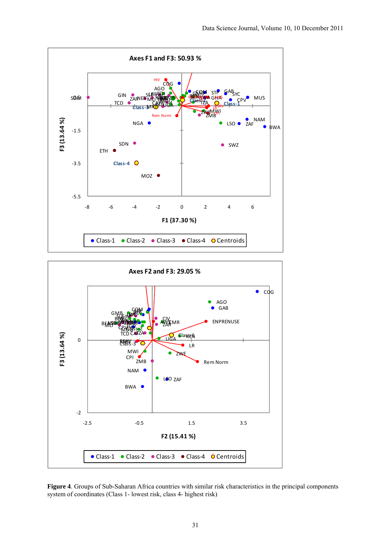



**Figure 4**. Groups of Sub-Saharan Africa countries with similar risk characteristics in the principal components system of coordinates (Class 1- lowest risk, class 4- highest risk)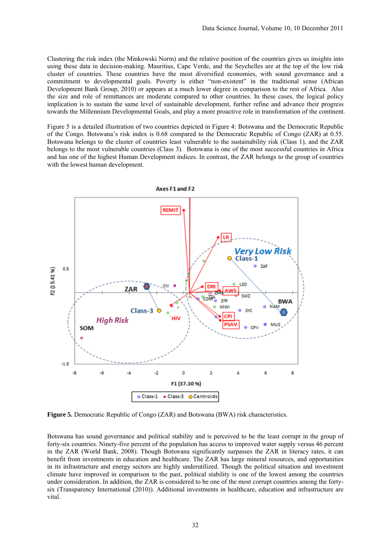Clustering the risk index (the Minkowski Norm) and the relative position of the countries gives us insights into using these data in decision-making. Mauritius, Cape Verde, and the Seychelles are at the top of the low risk cluster of countries. These countries have the most diversified economies, with sound governance and a commitment to developmental goals. Poverty is either "non-existent" in the traditional sense (African Development Bank Group, 2010) or appears at a much lower degree in comparison to the rest of Africa. Also the size and role of remittances are moderate compared to other countries. In these cases, the logical policy implication is to sustain the same level of sustainable development, further refine and advance their progress towards the Millennium Developmental Goals, and play a more proactive role in transformation of the continent.

Figure 5 is a detailed illustration of two countries depicted in Figure 4: Botswana and the Democratic Republic of the Congo. Botswana's risk index is 0.68 compared to the Democratic Republic of Congo (ZAR) at 0.55. Botswana belongs to the cluster of countries least vulnerable to the sustainability risk (Class 1), and the ZAR belongs to the most vulnerable countries (Class 3). Botswana is one of the most successful countries in Africa and has one of the highest Human Development indices. In contrast, the ZAR belongs to the group of countries with the lowest human development.



**Figure 5.** Democratic Republic of Congo (ZAR) and Botswana (BWA) risk characteristics.

Botswana has sound governance and political stability and is perceived to be the least corrupt in the group of forty-six countries. Ninety-five percent of the population has access to improved water supply versus 46 percent in the ZAR (World Bank, 2008). Though Botswana significantly surpasses the ZAR in literacy rates, it can benefit from investments in education and healthcare. The ZAR has large mineral resources, and opportunities in its infrastructure and energy sectors are highly underutilized. Though the political situation and investment climate have improved in comparison to the past, political stability is one of the lowest among the countries under consideration. In addition, the ZAR is considered to be one of the most corrupt countries among the fortysix (Transparency International (2010)). Additional investments in healthcare, education and infrastructure are vital.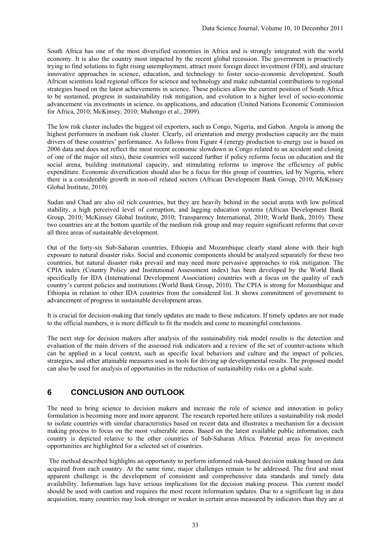South Africa has one of the most diversified economies in Africa and is strongly integrated with the world economy. It is also the country most impacted by the recent global recession. The government is proactively trying to find solutions to fight rising unemployment, attract more foreign direct investment (FDI), and structure innovative approaches in science, education, and technology to foster socio-economic development. South African scientists lead regional offices for science and technology and make substantial contributions to regional strategies based on the latest achievements in science. These policies allow the current position of South Africa to be sustained, progress in sustainability risk mitigation, and evolution to a higher level of socio-economic advancement via investments in science, its applications, and education (United Nations Economic Commission for Africa, 2010; McKinsey, 2010; Muhongo et al., 2009).

The low risk cluster includes the biggest oil exporters, such as Congo, Nigeria, and Gabon. Angola is among the highest performers in medium risk cluster. Clearly, oil orientation and energy production capacity are the main drivers of these countries' performance. As follows from Figure 4 (energy production to energy use is based on 2006 data and does not reflect the most recent economic slowdown in Congo related to an accident and closing of one of the major oil sites), these countries will succeed further if policy reforms focus on education and the social arena, building institutional capacity, and stimulating reforms to improve the efficiency of public expenditure. Economic diversification should also be a focus for this group of countries, led by Nigeria, where there is a considerable growth in non-oil related sectors (African Development Bank Group, 2010; McKinsey Global Institute, 2010).

Sudan and Chad are also oil rich countries, but they are heavily behind in the social arena with low political stability, a high perceived level of corruption, and lagging education systems (African Development Bank Group, 2010; McKinsey Global Institute, 2010; Transparency International, 2010; World Bank, 2010). These two countries are at the bottom quartile of the medium risk group and may require significant reforms that cover all three areas of sustainable development.

Out of the forty-six Sub-Saharan countries, Ethiopia and Mozambique clearly stand alone with their high exposure to natural disaster risks. Social and economic components should be analyzed separately for these two countries, but natural disaster risks prevail and may need more pervasive approaches to risk mitigation. The CPIA index (Country Policy and Institutional Assessment index) has been developed by the World Bank specifically for IDA (International Development Association) countries with a focus on the quality of each country's current policies and institutions (World Bank Group, 2010). The CPIA is strong for Mozambique and Ethiopia in relation to other IDA countries from the considered list. It shows commitment of government to advancement of progress in sustainable development areas.

It is crucial for decision-making that timely updates are made to these indicators. If timely updates are not made to the official numbers, it is more difficult to fit the models and come to meaningful conclusions.

The next step for decision makers after analysis of the sustainability risk model results is the detection and evaluation of the main drivers of the assessed risk indicators and a review of the set of counter-actions which can be applied in a local context, such as specific local behaviors and culture and the impact of policies, strategies, and other attainable measures used as tools for driving up developmental results. The proposed model can also be used for analysis of opportunities in the reduction of sustainability risks on a global scale.

#### **6 CONCLUSION AND OUTLOOK**

The need to bring science to decision makers and increase the role of science and innovation in policy formulation is becoming more and more apparent. The research reported here utilizes a sustainability risk model to isolate countries with similar characteristics based on recent data and illustrates a mechanism for a decision making process to focus on the most vulnerable areas. Based on the latest available public information, each country is depicted relative to the other countries of Sub-Saharan Africa. Potential areas for investment opportunities are highlighted for a selected set of countries.

 The method described highlights an opportunity to perform informed risk-based decision making based on data acquired from each country. At the same time, major challenges remain to be addressed. The first and most apparent challenge is the development of consistent and comprehensive data standards and timely data availability. Information lags have serious implications for the decision making process. This current model should be used with caution and requires the most recent information updates. Due to a significant lag in data acquisition, many countries may look stronger or weaker in certain areas measured by indicators than they are at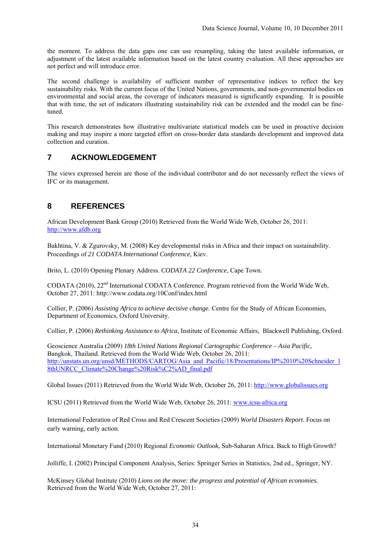the moment. To address the data gaps one can use resampling, taking the latest available information, or adjustment of the latest available information based on the latest country evaluation. All these approaches are not perfect and will introduce error.

The second challenge is availability of sufficient number of representative indices to reflect the key sustainability risks. With the current focus of the United Nations, governments, and non-governmental bodies on environmental and social areas, the coverage of indicators measured is significantly expanding. It is possible that with time, the set of indicators illustrating sustainability risk can be extended and the model can be finetuned.

This research demonstrates how illustrative multivariate statistical models can be used in proactive decision making and may inspire a more targeted effort on cross-border data standards development and improved data collection and curation.

#### **7 ACKNOWLEDGEMENT**

The views expressed herein are those of the individual contributor and do not necessarily reflect the views of IFC or its management.

#### **8 REFERENCES**

African Development Bank Group (2010) Retrieved from the World Wide Web, October 26, 2011: http://www.afdb.org

Bakhtina, V. & Zgurovsky, M. (2008) Key developmental risks in Africa and their impact on sustainability. Proceedings of *21 CODATA International Conference*, Kiev.

Brito, L. (2010) Opening Plenary Address. *CODATA 22 Conference*, Cape Town.

CODATA (2010), 22nd International CODATA Conference. Program retrieved from the World Wide Web, October 27, 2011: http://www.codata.org/10Conf/index.html

Collier, P. (2006) *Assisting Africa to achieve decisive change.* Centre for the Study of African Economies, Department of Economics, Oxford University.

Collier, P. (2006) *Rethinking Assistance to Africa,* Institute of Economic Affairs, Blackwell Publishing, Oxford.

Geoscience Australia (2009) *18th United Nations Regional Cartographic Conference – Asia Pacific,* Bangkok, Thailand. Retrieved from the World Wide Web, October 26, 2011: http://unstats.un.org/unsd/METHODS/CARTOG/Asia\_and\_Pacific/18/Presentations/IP%2010%20Schneider\_1 8thUNRCC\_Climate%20Change%20Risk%C2%AD\_final.pdf

Global Issues (2011) Retrieved from the World Wide Web, October 26, 2011: http://www.globalissues.org

ICSU (2011) Retrieved from the World Wide Web, October 26, 2011: www.icsu-africa.org

International Federation of Red Cross and Red Crescent Societies (2009) *World Disasters Report*. Focus on early warning, early action.

International Monetary Fund (2010) Regional *Economic Outlook*, Sub-Saharan Africa. Back to High Growth?

Jolliffe, I. (2002) Principal Component Analysis, Series: Springer Series in Statistics, 2nd ed., Springer, NY.

McKinsey Global Institute (2010) *Lions on the move: the progress and potential of African economies.* Retrieved from the World Wide Web, October 27, 2011: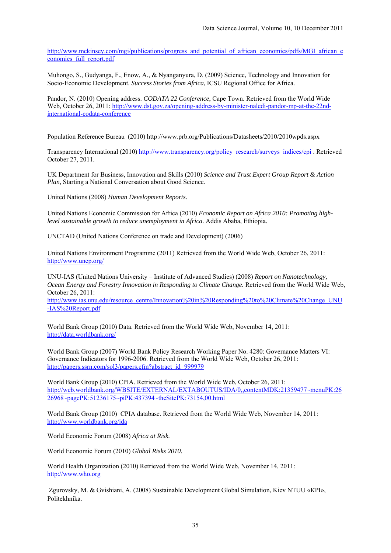http://www.mckinsey.com/mgi/publications/progress\_and\_potential\_of\_african\_economies/pdfs/MGI\_african\_e conomies\_full\_report.pdf

Muhongo, S., Gudyanga, F., Enow, A., & Nyanganyura, D. (2009) Science, Technology and Innovation for Socio-Economic Development. *Success Stories from Africa*, ICSU Regional Office for Africa.

Pandor, N. (2010) Opening address. *CODATA 22 Conference*, Cape Town. Retrieved from the World Wide Web, October 26, 2011: http://www.dst.gov.za/opening-address-by-minister-naledi-pandor-mp-at-the-22ndinternational-codata-conference

Population Reference Bureau (2010) http://www.prb.org/Publications/Datasheets/2010/2010wpds.aspx

Transparency International (2010) http://www.transparency.org/policy\_research/surveys\_indices/cpi . Retrieved October 27, 2011.

UK Department for Business, Innovation and Skills (2010) *Science and Trust Expert Group Report & Action Plan,* Starting a National Conversation about Good Science.

United Nations (2008) *Human Development Reports.*

United Nations Economic Commission for Africa (2010) *Economic Report on Africa 2010: Promoting highlevel sustainable growth to reduce unemployment in Africa*. Addis Ababa, Ethiopia.

UNCTAD (United Nations Conference on trade and Development) (2006)

United Nations Environment Programme (2011) Retrieved from the World Wide Web, October 26, 2011: http://www.unep.org/

UNU-IAS (United Nations University – Institute of Advanced Studies) (2008) *Report on Nanotechnology, Ocean Energy and Forestry Innovation in Responding to Climate Change.* Retrieved from the World Wide Web, October 26, 2011:

http://www.ias.unu.edu/resource\_centre/Innovation%20in%20Responding%20to%20Climate%20Change\_UNU -IAS%20Report.pdf

 World Bank Group (2010) Data. Retrieved from the World Wide Web, November 14, 2011: http://data.worldbank.org/

World Bank Group (2007) World Bank Policy Research Working Paper No. 4280: Governance Matters VI: Governance Indicators for 1996-2006. Retrieved from the World Wide Web, October 26, 2011: http://papers.ssrn.com/sol3/papers.cfm?abstract\_id=999979

World Bank Group (2010) CPIA. Retrieved from the World Wide Web, October 26, 2011: http://web.worldbank.org/WBSITE/EXTERNAL/EXTABOUTUS/IDA/0,,contentMDK:21359477~menuPK:26 26968~pagePK:51236175~piPK:437394~theSitePK:73154,00.html

 World Bank Group (2010) CPIA database. Retrieved from the World Wide Web, November 14, 2011: http://www.worldbank.org/ida

World Economic Forum (2008) *Africa at Risk.*

World Economic Forum (2010) *Global Risks 2010*.

World Health Organization (2010) Retrieved from the World Wide Web, November 14, 2011: http://www.who.org

 Zgurovsky, M. & Gvishiani, A. (2008) Sustainable Development Global Simulation, Kiev NTUU «КPI», Politekhnika.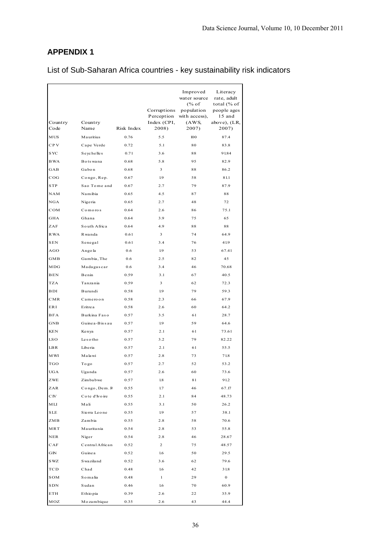List of Sub-Saharan Africa countries - key sustainability risk indicators

| Country<br>Code | Country<br>Name | Risk Index | Corruptions<br>Perception<br>Index (CPI,<br>2008) | Improved<br>water source<br>$\frac{6}{6}$ of<br>population<br>with access),<br>(AWS,<br>2007) | Literacy<br>rate, adult<br>total (% of<br>people ages<br>15 and<br>above), (LR,<br>2007) |
|-----------------|-----------------|------------|---------------------------------------------------|-----------------------------------------------------------------------------------------------|------------------------------------------------------------------------------------------|
| <b>MUS</b>      | Mauritius       | 0.76       | 5.5                                               | 100                                                                                           | 87.4                                                                                     |
| CP <sub>V</sub> | Cape Verde      | 0.72       | 5.1                                               | 80                                                                                            | 83.8                                                                                     |
| <b>SYC</b>      | Seychelles      | 0.71       | 3.6                                               | 88                                                                                            | 91.84                                                                                    |
| <b>BWA</b>      | Botswana        | 0.68       | 5.8                                               | 95                                                                                            | 82.9                                                                                     |
| GAB             | Gabon           | 0.68       | 3                                                 | 88                                                                                            | 86.2                                                                                     |
| COG             | Congo, Rep.     | 0.67       | 1.9                                               | 58                                                                                            | 81.1                                                                                     |
| <b>STP</b>      | Sao Tome and    | 0.67       | 2.7                                               | 79                                                                                            | 87.9                                                                                     |
|                 |                 |            |                                                   |                                                                                               |                                                                                          |
| NAM             | Namibia         | 0.65       | 4.5                                               | 87                                                                                            | 88                                                                                       |
| NGA             | Nigeria         | 0.65       | 2.7                                               | 48                                                                                            | 72                                                                                       |
| COM             | Comoros         | 0.64       | 2.6                                               | 86                                                                                            | 75.1                                                                                     |
| <b>GHA</b>      | Ghana           | 0.64       | 3.9                                               | 75                                                                                            | 65                                                                                       |
| ZAF             | South Africa    | 0.64       | 4.9                                               | 88                                                                                            | 88                                                                                       |
| R WA            | Rwanda          | 0.61       | 3                                                 | 74                                                                                            | 64.9                                                                                     |
| <b>SEN</b>      | Senegal         | 0.61       | 3.4                                               | 76                                                                                            | 41.9                                                                                     |
| AGO             | Ango la         | 0.6        | 1.9                                               | 53                                                                                            | 67.41                                                                                    |
| GMB             | Gambia, The     | 0.6        | 2.5                                               | 82                                                                                            | 45                                                                                       |
| MDG             | Madagascar      | 0.6        | 3.4                                               | 46                                                                                            | 70.68                                                                                    |
| BEN             | Benin           | 0.59       | 3.1                                               | 67                                                                                            | 40.5                                                                                     |
| <b>TZA</b>      | Tanzania        | 0.59       | 3                                                 | 62                                                                                            | 72.3                                                                                     |
| BDI             | Burundi         | 0.58       | 1.9                                               | 79                                                                                            | 59.3                                                                                     |
| CMR             | Cameroon        | 0.58       | 2.3                                               | 66                                                                                            | 67.9                                                                                     |
| ERI             | Eritrea         | 0.58       | 2.6                                               | 60                                                                                            | 64.2                                                                                     |
| <b>BFA</b>      | Burkina Faso    | 0.57       | 3.5                                               | 61                                                                                            | 28.7                                                                                     |
| GNB             | Guinea-Bissau   | 0.57       | 1.9                                               | 59                                                                                            | 64.6                                                                                     |
| KEN             | Kenya           | 0.57       | 2.1                                               | 61                                                                                            | 73.61                                                                                    |
| LS O            | Lesotho         | 0.57       | 3.2                                               | 79                                                                                            | 82.22                                                                                    |
| LB R            | Liberia         | 0.57       | 2.1                                               | 61                                                                                            | 55.5                                                                                     |
| M WI            | Malawi          | 0.57       | 2.8                                               | 73                                                                                            | 71.8                                                                                     |
| TGO             | Togo            | 0.57       | 2.7                                               | 52                                                                                            | 53.2                                                                                     |
| UGA             | Uganda          | 0.57       | 2.6                                               | 60                                                                                            | 73.6                                                                                     |
| ZWE             | Zimbabwe        | 0.57       | 1.8                                               | 81                                                                                            | 91.2                                                                                     |
| ZAR             | Congo, Dem. R   | 0.55       | 1.7                                               | 46                                                                                            | 67.17                                                                                    |
| $\rm C\,I\!V$   | Cote d'Ivoire   | 0.55       | 2.1                                               | 84                                                                                            | 48.73                                                                                    |
| МLI             | Mali            | 0.55       | 3.1                                               | 50                                                                                            | 26.2                                                                                     |
| SLE             | Sierra Leone    | 0.55       | 1.9                                               | 57                                                                                            | 38.1                                                                                     |
| ZMB             | Zambia          | 0.55       | 2.8                                               | 58                                                                                            | 70.6                                                                                     |
| MRT             | Mauritania      | 0.54       | 2.8                                               | 53                                                                                            | 55.8                                                                                     |
| NER             | Niger           | 0.54       | 2.8                                               | 46                                                                                            | 28.67                                                                                    |
| CAF             | Central African | 0.52       | 2                                                 | 75                                                                                            | 48.57                                                                                    |
| GN              | Guinea          | 0.52       | 1.6                                               | 50                                                                                            | 29.5                                                                                     |
| S WZ            | S wa ziland     | 0.52       | 3.6                                               | 62                                                                                            | 79.6                                                                                     |
| TCD             | Chad            | 0.48       | 1.6                                               |                                                                                               | 31.8                                                                                     |
|                 | Somalia         |            | $\mathbf{1}$                                      | 42                                                                                            | $\mathbf{0}$                                                                             |
| SOM             |                 | 0.48       |                                                   | 29                                                                                            |                                                                                          |
| SDN             | Sudan           | 0.46       | $1.6\phantom{0}$                                  | 70                                                                                            | 60.9                                                                                     |
| ETH             | Ethiopia        | 0.39       | 2.6                                               | 22                                                                                            | 35.9                                                                                     |
| MOZ             | Mozambique      | 0.35       | 2.6                                               | 43                                                                                            | 44.4                                                                                     |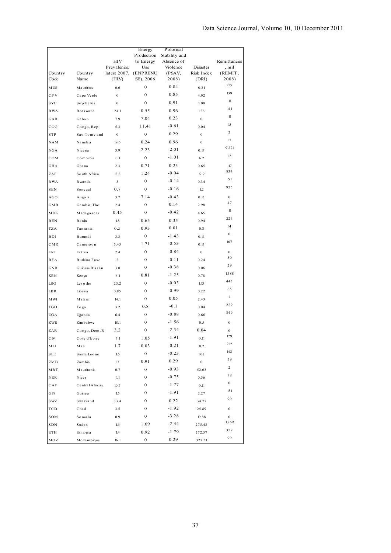|                       |                 |                         | Energy<br>Production | Polotical<br>Stability and |                  |                         |
|-----------------------|-----------------|-------------------------|----------------------|----------------------------|------------------|-------------------------|
|                       |                 | HIV                     | to Energy            | Absence of                 |                  | Remittances             |
|                       |                 | Prevalence,             | Use                  | Violence                   | Disaster         | , mil                   |
| Country               | Country         | latest $2007$ ,         | (ENPRENU             | (PSAV,<br>2008)            | Risk Index       | (REMIT,                 |
| Code                  | Name            | (HIV)                   | SE), 2006            |                            | (DRI)            | 2008)<br>215            |
| <b>MUS</b>            | Mauritius       | 0.6                     | $\boldsymbol{0}$     | 0.84                       | 0.31             | 139                     |
| CP V                  | Cape Verde      | $\mathbf{0}$            | $\boldsymbol{0}$     | 0.85                       | 4.92             | 11                      |
| <b>SYC</b>            | Seychelles      | $\boldsymbol{0}$        | $\boldsymbol{0}$     | 0.91                       | 3.08             | 141                     |
| <b>BWA</b>            | Botswana        | 24.1                    | 0.55                 | 0.96                       | 1.26             | 11                      |
| GAB                   | Gabon           | 7.9                     | 7.04                 | 0.23                       | $\bf{0}$         |                         |
| COG                   | Congo, Rep.     | 5.3                     | 11.41                | $-0.61$                    | 0.04             | 15                      |
| <b>STP</b>            | Sao Tome and    | $\boldsymbol{0}$        | $\boldsymbol{0}$     | 0.29                       | $\boldsymbol{0}$ | $\overline{c}$          |
| <b>NAM</b>            | Namibia         | 19.6                    | 0.24                 | 0.96                       | $\boldsymbol{0}$ | 17                      |
| NGA                   | Nigeria         | 3.9                     | 2.23                 | $-2.01$                    | 0.17             | 9,221                   |
| COM                   | Comoros         | 0.1                     | $\boldsymbol{0}$     | $-1.01$                    | 6.2              | 12                      |
| GHA                   | Ghana           | 2.3                     | 0.71                 | 0.23                       | 0.65             | 117                     |
| ZAF                   | South Africa    | $18.8\,$                | 1.24                 | $-0.04$                    | 19.9             | 834                     |
| R WA                  | Rwanda          | 3                       | $\overline{0}$       | $-0.14$                    | 0.34             | 51                      |
| <b>SEN</b>            | Senegal         | 0.7                     | $\bf{0}$             | $-0.16$                    | 1.2              | 925                     |
| AGO                   | Angola          | 3.7                     | 7.14                 | $-0.43$                    | 0.13             | $\bf{0}$                |
| GMB                   | Gambia, The     | 2.4                     | $\overline{0}$       | 0.14                       | 2.98             | 47                      |
| MDG                   | Madagascar      | 0.45                    | $\bf{0}$             | $-0.42$                    | 4.65             | 11                      |
| <b>BEN</b>            | Benin           | 1.8                     | 0.65                 | 0.35                       | 0.94             | 224                     |
| <b>TZA</b>            | Tanzania        | 6.5                     | 0.93                 | 0.01                       | $0.8\,$          | 14                      |
| BDI                   | Burundi         | 3.3                     | 0                    | $-1.43$                    | 0.14             | $\bf{0}$                |
| CMR                   | Cameroon        | 5.45                    | 1.71                 | $-0.53$                    | 0.13             | 167                     |
| ERI                   | Eritrea         | 2.4                     | $\mathbf{0}$         | $-0.84$                    | $\mathbf{0}$     | $\bf{0}$                |
| <b>BFA</b>            | Burkina Faso    | $\overline{\mathbf{c}}$ | $\mathbf{0}$         | $-0.11$                    | 0.24             | 50                      |
| GNB                   | Guinea-Bissau   | 3.8                     | $\mathbf{0}$         | $-0.38$                    | 0.06             | 29                      |
|                       |                 |                         | 0.81                 | $-1.25$                    |                  | 1,588                   |
| <b>KEN</b>            | Kenya           | 6.1                     |                      | $-0.03$                    | 0.78             | 443                     |
| LS O                  | Lesotho         | 23.2                    | 0                    |                            | 1.13             | 65                      |
| $L$ BR                | Liberia         | 0.85                    | 0                    | $-0.99$                    | 0.22             | $\mathbf{1}$            |
| M WI                  | Malawi          | 14.1                    | 0                    | 0.05                       | 2.43             | 229                     |
| TGO                   | Togo            | 3.2                     | 0.8                  | $-0.1$                     | 0.04             | 849                     |
| <b>UGA</b>            | Uganda          | 6.4                     | $\bf{0}$             | $-0.88$                    | 0.66             |                         |
| ZWE                   | Zimbabwe        | 18.1                    | 0                    | $-1.56$                    | 0.5              | $\boldsymbol{0}$        |
| ZAR                   | Congo, Dem. R   | 3.2                     | $\boldsymbol{0}$     | $-2.34$                    | 0.04             | $\bf{0}$<br>179         |
| C <sub>IV</sub>       | Cote d'Ivoire   | 7.1                     | 1.05                 | $-1.91$                    | 0.11             |                         |
| MLI                   | Mali            | 1.7                     | 0.03                 | $-0.21$                    | 0.2              | 212                     |
| <b>SLE</b>            | Sierra Leone    | $1.6\phantom{0}$        | $\boldsymbol{0}$     | $-0.23$                    | 1.02             | 148                     |
| ZMB                   | Zambia          | $17\,$                  | 0.91                 | 0.29                       | $\boldsymbol{0}$ | 59                      |
| MRT                   | Mauritania      | 0.7                     | $\bf{0}$             | $-0.93$                    | 52.63            | $\overline{\mathbf{c}}$ |
| ${\tt NER}$           | Niger           | 1.1                     | 0                    | $-0.75$                    | 0.56             | 78                      |
| CAF                   | Central African | 10.7                    | 0                    | $-1.77$                    | 0.11             | $\bf{0}$                |
| GN                    | Guinea          | 1.5                     | 0                    | $-1.91$                    | 2.27             | 151                     |
| SWZ                   | S wa ziland     | 33.4                    | 0                    | 0.22                       | 34.77            | 99                      |
| $_{\mbox{\tiny TCD}}$ | Chad            | 3.5                     | 0                    | $-1.92$                    | 25.89            | $\boldsymbol{0}$        |
| SOM                   | Somalia         | 0.9                     | 0                    | $-3.28$                    | 19.88            | $\boldsymbol{0}$        |
| SDN                   | Sudan           | $1.6\phantom{0}$        | 1.69                 | $-2.44$                    | 275.43           | 1,769                   |
| ETH                   | Ethio pia       | 1.4                     | 0.92                 | $-1.79$                    | 272.57           | 359                     |
| MOZ                   | Mozambique      | 16.1                    | $\boldsymbol{0}$     | 0.29                       | 327.51           | 99                      |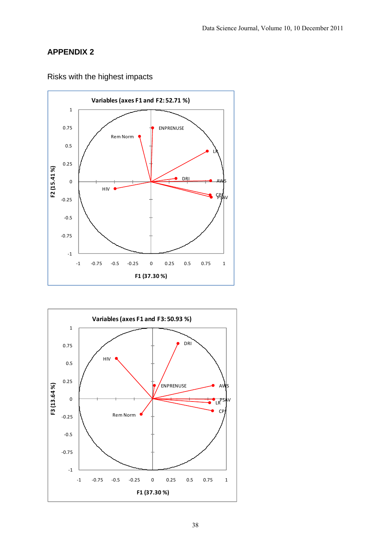



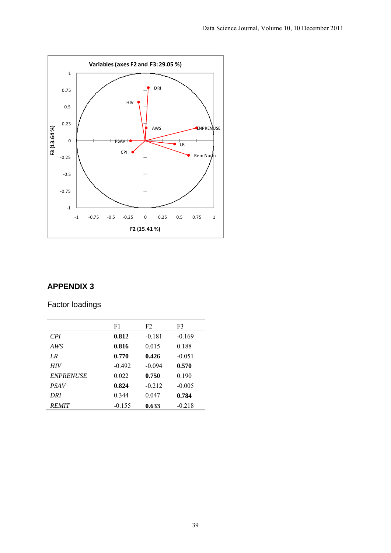

Factor loadings

|                  | F1       | F2       | F3       |
|------------------|----------|----------|----------|
| CPI <sup></sup>  | 0.812    | $-0.181$ | $-0.169$ |
| AWS              | 0.816    | 0.015    | 0.188    |
| $_{LR}$          | 0.770    | 0.426    | $-0.051$ |
| <b>HIV</b>       | $-0.492$ | $-0.094$ | 0.570    |
| <b>ENPRENUSE</b> | 0.022    | 0.750    | 0.190    |
| <b>PSAV</b>      | 0.824    | $-0.212$ | $-0.005$ |
| DRI              | 0.344    | 0.047    | 0.784    |
| <b>REMIT</b>     | $-0.155$ | 0.633    | $-0.218$ |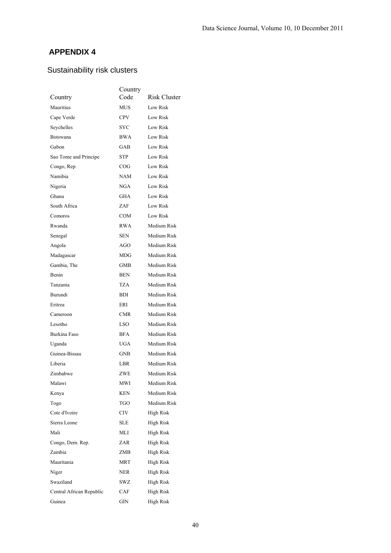# Sustainability risk clusters

|                          | Country    |                  |
|--------------------------|------------|------------------|
| Country                  | Code       | Risk Cluster     |
| Mauritius                | MUS        | Low Risk         |
| Cape Verde               | <b>CPV</b> | <b>Low Risk</b>  |
| Seychelles               | SYC        | <b>Low Risk</b>  |
| Botswana                 | <b>BWA</b> | Low Risk         |
| Gabon                    | GAB        | Low Risk         |
| Sao Tome and Principe    | STP        | <b>Low Risk</b>  |
| Congo, Rep.              | COG        | <b>Low Risk</b>  |
| Namibia                  | NAM        | Low Risk         |
| Nigeria                  | NGA        | Low Risk         |
| Ghana                    | GHA        | <b>Low Risk</b>  |
| South Africa             | ZAF        | <b>Low Risk</b>  |
| Comoros                  | COM        | Low Risk         |
| Rwanda                   | <b>RWA</b> | Medium Risk      |
| Senegal                  | <b>SEN</b> | Medium Risk      |
| Angola                   | AGO        | Medium Risk      |
| Madagascar               | MDG        | Medium Risk      |
| Gambia, The              | <b>GMB</b> | Medium Risk      |
| Benin                    | <b>BEN</b> | Medium Risk      |
| Tanzania                 | TZA        | Medium Risk      |
| Burundi                  | BDI        | Medium Risk      |
| Eritrea                  | ERI        | Medium Risk      |
| Cameroon                 | <b>CMR</b> | Medium Risk      |
| Lesotho                  | LSO        | Medium Risk      |
| Burkina Faso             | <b>BFA</b> | Medium Risk      |
| Uganda                   | UGA        | Medium Risk      |
| Guinea-Bissau            | GNB        | Medium Risk      |
| Liberia                  | LBR        | Medium Risk      |
| Zimbabwe                 | ZWE        | Medium Risk      |
| Malawi                   | <b>MWI</b> | Medium Risk      |
| Kenya                    | KEN        | Medium Risk      |
| Togo                     | TGO        | Medium Risk      |
| Cote d'Ivoire            | CIV        | <b>High Risk</b> |
| Sierra Leone             | <b>SLE</b> | High Risk        |
| Mali                     | MLI        | High Risk        |
| Congo, Dem. Rep.         | ZAR        | High Risk        |
| Zambia                   | ZMB        | High Risk        |
| Mauritania               | <b>MRT</b> | High Risk        |
| Niger                    | NER        | High Risk        |
| Swaziland                | SWZ        | High Risk        |
| Central African Republic | CAF        | High Risk        |
| Guinea                   | GIN        | High Risk        |